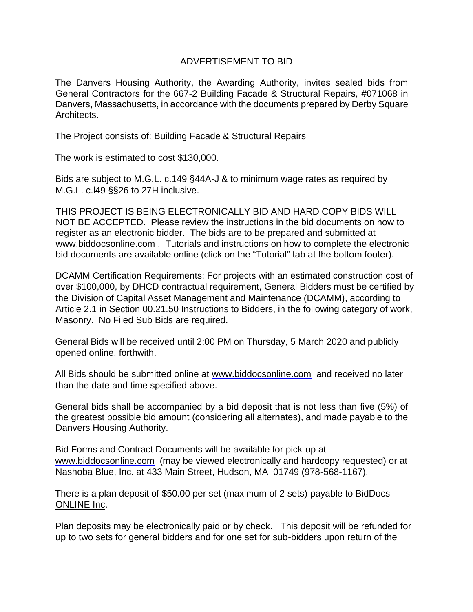## ADVERTISEMENT TO BID

The Danvers Housing Authority, the Awarding Authority, invites sealed bids from General Contractors for the 667-2 Building Facade & Structural Repairs, #071068 in Danvers, Massachusetts, in accordance with the documents prepared by Derby Square Architects.

The Project consists of: Building Facade & Structural Repairs

The work is estimated to cost \$130,000.

Bids are subject to M.G.L. c.149 §44A-J & to minimum wage rates as required by M.G.L. c.l49 §§26 to 27H inclusive.

THIS PROJECT IS BEING ELECTRONICALLY BID AND HARD COPY BIDS WILL NOT BE ACCEPTED. Please review the instructions in the bid documents on how to register as an electronic bidder. The bids are to be prepared and submitted at www.biddocsonline.com . Tutorials and instructions on how to complete the electronic bid documents are available online (click on the "Tutorial" tab at the bottom footer).

DCAMM Certification Requirements: For projects with an estimated construction cost of over \$100,000, by DHCD contractual requirement, General Bidders must be certified by the Division of Capital Asset Management and Maintenance (DCAMM), according to Article 2.1 in Section 00.21.50 Instructions to Bidders, in the following category of work, Masonry. No Filed Sub Bids are required.

General Bids will be received until 2:00 PM on Thursday, 5 March 2020 and publicly opened online, forthwith.

All Bids should be submitted online at www.biddocsonline.com and received no later than the date and time specified above.

General bids shall be accompanied by a bid deposit that is not less than five (5%) of the greatest possible bid amount (considering all alternates), and made payable to the Danvers Housing Authority.

Bid Forms and Contract Documents will be available for pick-up at www.biddocsonline.com (may be viewed electronically and hardcopy requested) or at Nashoba Blue, Inc. at 433 Main Street, Hudson, MA 01749 (978-568-1167).

There is a plan deposit of \$50.00 per set (maximum of 2 sets) payable to BidDocs ONLINE Inc.

Plan deposits may be electronically paid or by check. This deposit will be refunded for up to two sets for general bidders and for one set for sub-bidders upon return of the